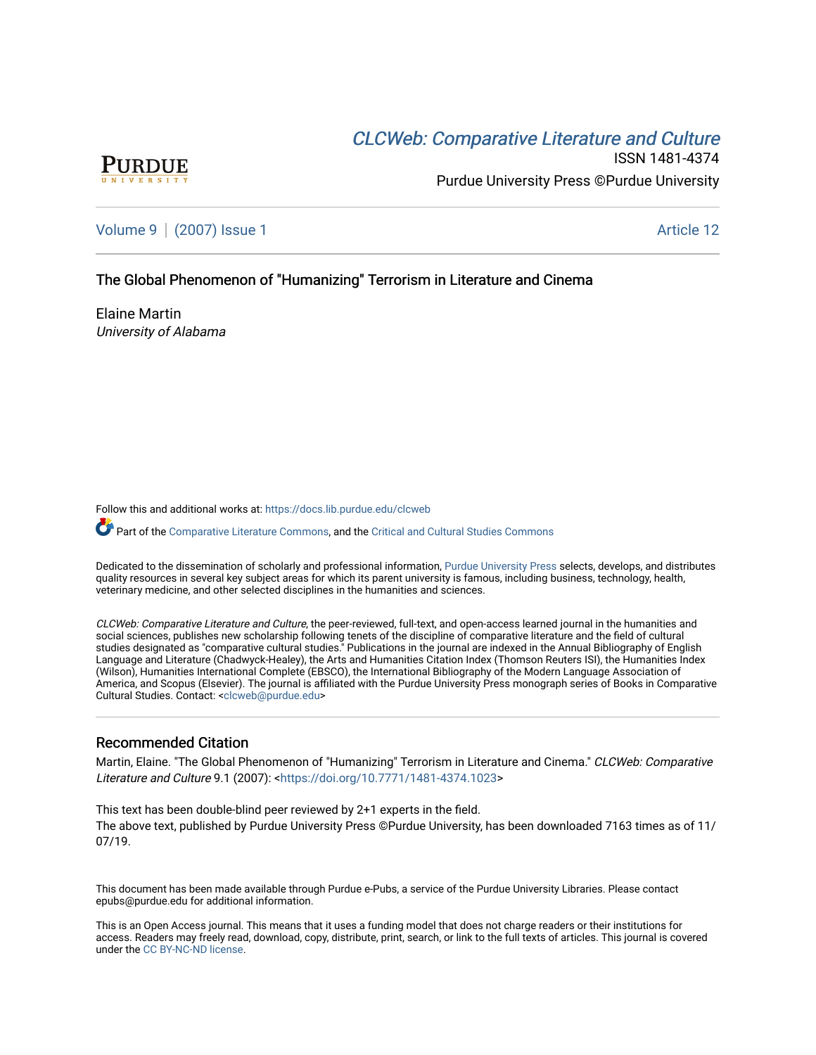# CLCW[eb: Comparative Liter](https://docs.lib.purdue.edu/clcweb)ature and Culture



ISSN 1481-4374 Purdue University Press ©Purdue University

[Volume 9](https://docs.lib.purdue.edu/clcweb/vol9) | [\(2007\) Issue 1](https://docs.lib.purdue.edu/clcweb/vol9/iss1) Article 12

# The Global Phenomenon of "Humanizing" Terrorism in Literature and Cinema

Elaine Martin University of Alabama

Follow this and additional works at: [https://docs.lib.purdue.edu/clcweb](https://docs.lib.purdue.edu/clcweb?utm_source=docs.lib.purdue.edu%2Fclcweb%2Fvol9%2Fiss1%2F12&utm_medium=PDF&utm_campaign=PDFCoverPages)

Part of the [Comparative Literature Commons,](http://network.bepress.com/hgg/discipline/454?utm_source=docs.lib.purdue.edu%2Fclcweb%2Fvol9%2Fiss1%2F12&utm_medium=PDF&utm_campaign=PDFCoverPages) and the Critical and Cultural Studies Commons

Dedicated to the dissemination of scholarly and professional information, [Purdue University Press](http://www.thepress.purdue.edu/) selects, develops, and distributes quality resources in several key subject areas for which its parent university is famous, including business, technology, health, veterinary medicine, and other selected disciplines in the humanities and sciences.

CLCWeb: Comparative Literature and Culture, the peer-reviewed, full-text, and open-access learned journal in the humanities and social sciences, publishes new scholarship following tenets of the discipline of comparative literature and the field of cultural studies designated as "comparative cultural studies." Publications in the journal are indexed in the Annual Bibliography of English Language and Literature (Chadwyck-Healey), the Arts and Humanities Citation Index (Thomson Reuters ISI), the Humanities Index (Wilson), Humanities International Complete (EBSCO), the International Bibliography of the Modern Language Association of America, and Scopus (Elsevier). The journal is affiliated with the Purdue University Press monograph series of Books in Comparative Cultural Studies. Contact: [<clcweb@purdue.edu](mailto:clcweb@purdue.edu)>

# Recommended Citation

Martin, Elaine. "The Global Phenomenon of "Humanizing" Terrorism in Literature and Cinema." CLCWeb: Comparative Literature and Culture 9.1 (2007): [<https://doi.org/10.7771/1481-4374.1023](https://doi.org/10.7771/1481-4374.1023)>

This text has been double-blind peer reviewed by 2+1 experts in the field. The above text, published by Purdue University Press ©Purdue University, has been downloaded 7163 times as of 11/ 07/19.

This document has been made available through Purdue e-Pubs, a service of the Purdue University Libraries. Please contact epubs@purdue.edu for additional information.

This is an Open Access journal. This means that it uses a funding model that does not charge readers or their institutions for access. Readers may freely read, download, copy, distribute, print, search, or link to the full texts of articles. This journal is covered under the [CC BY-NC-ND license.](https://creativecommons.org/licenses/by-nc-nd/4.0/)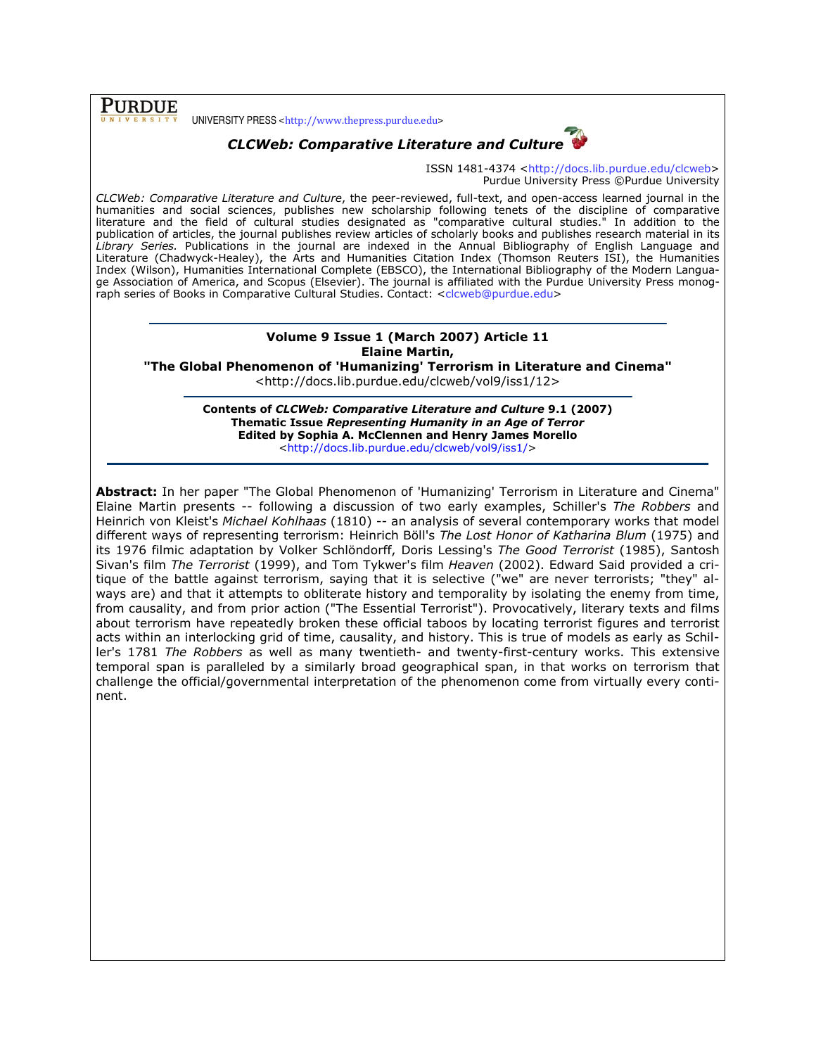**PURDUE** 

UNIVERSITY PRESS <http://www.thepress.purdue.edu>



ISSN 1481-4374 <http://docs.lib.purdue.edu/clcweb> Purdue University Press ©Purdue University

CLCWeb: Comparative Literature and Culture, the peer-reviewed, full-text, and open-access learned journal in the humanities and social sciences, publishes new scholarship following tenets of the discipline of comparative literature and the field of cultural studies designated as "comparative cultural studies." In addition to the publication of articles, the journal publishes review articles of scholarly books and publishes research material in its Library Series. Publications in the journal are indexed in the Annual Bibliography of English Language and Literature (Chadwyck-Healey), the Arts and Humanities Citation Index (Thomson Reuters ISI), the Humanities Index (Wilson), Humanities International Complete (EBSCO), the International Bibliography of the Modern Language Association of America, and Scopus (Elsevier). The journal is affiliated with the Purdue University Press monograph series of Books in Comparative Cultural Studies. Contact: <clcweb@purdue.edu>

### Volume 9 Issue 1 (March 2007) Article 11 Elaine Martin,

"The Global Phenomenon of 'Humanizing' Terrorism in Literature and Cinema" <http://docs.lib.purdue.edu/clcweb/vol9/iss1/12>

> Contents of CLCWeb: Comparative Literature and Culture 9.1 (2007) Thematic Issue Representing Humanity in an Age of Terror Edited by Sophia A. McClennen and Henry James Morello <http://docs.lib.purdue.edu/clcweb/vol9/iss1/>

Abstract: In her paper "The Global Phenomenon of 'Humanizing' Terrorism in Literature and Cinema" Elaine Martin presents -- following a discussion of two early examples, Schiller's The Robbers and Heinrich von Kleist's Michael Kohlhaas (1810) -- an analysis of several contemporary works that model different ways of representing terrorism: Heinrich Böll's The Lost Honor of Katharina Blum (1975) and its 1976 filmic adaptation by Volker Schlöndorff, Doris Lessing's The Good Terrorist (1985), Santosh Sivan's film The Terrorist (1999), and Tom Tykwer's film Heaven (2002). Edward Said provided a critique of the battle against terrorism, saying that it is selective ("we" are never terrorists; "they" always are) and that it attempts to obliterate history and temporality by isolating the enemy from time, from causality, and from prior action ("The Essential Terrorist"). Provocatively, literary texts and films about terrorism have repeatedly broken these official taboos by locating terrorist figures and terrorist acts within an interlocking grid of time, causality, and history. This is true of models as early as Schiller's 1781 The Robbers as well as many twentieth- and twenty-first-century works. This extensive temporal span is paralleled by a similarly broad geographical span, in that works on terrorism that challenge the official/governmental interpretation of the phenomenon come from virtually every continent.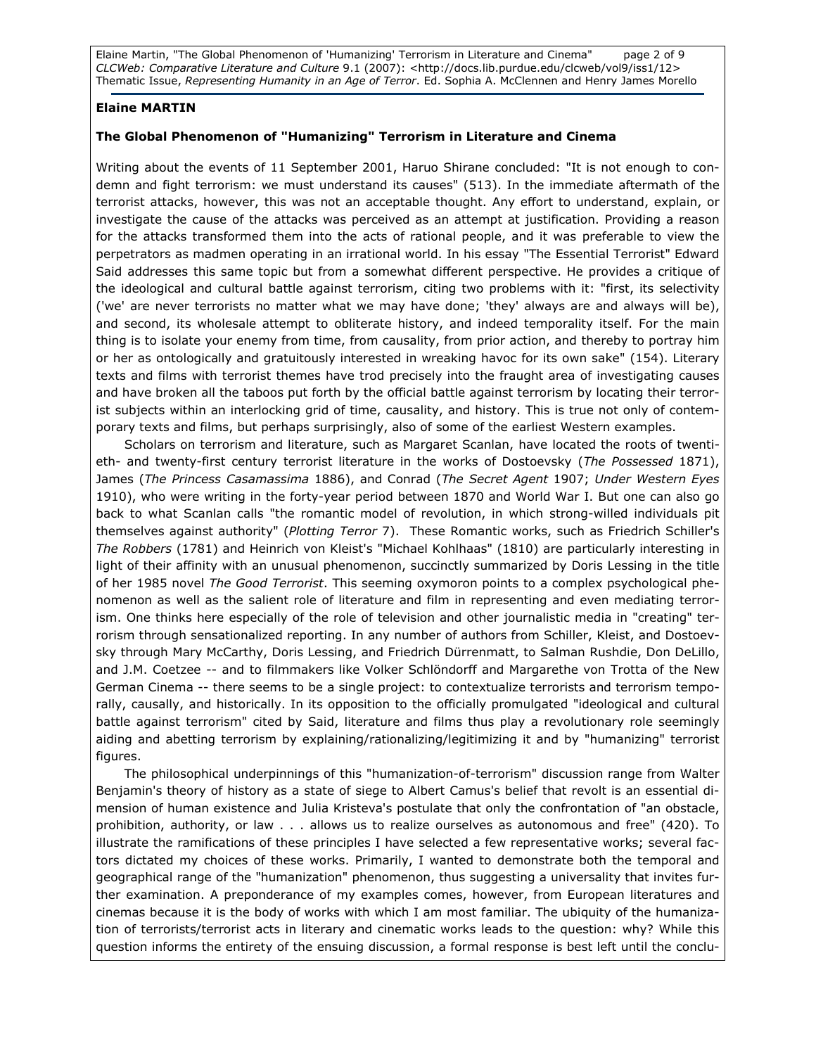Elaine Martin, "The Global Phenomenon of 'Humanizing' Terrorism in Literature and Cinema" page 2 of 9 CLCWeb: Comparative Literature and Culture 9.1 (2007): <http://docs.lib.purdue.edu/clcweb/vol9/iss1/12> Thematic Issue, Representing Humanity in an Age of Terror. Ed. Sophia A. McClennen and Henry James Morello

#### Elaine MARTIN

### The Global Phenomenon of "Humanizing" Terrorism in Literature and Cinema

Writing about the events of 11 September 2001, Haruo Shirane concluded: "It is not enough to condemn and fight terrorism: we must understand its causes" (513). In the immediate aftermath of the terrorist attacks, however, this was not an acceptable thought. Any effort to understand, explain, or investigate the cause of the attacks was perceived as an attempt at justification. Providing a reason for the attacks transformed them into the acts of rational people, and it was preferable to view the perpetrators as madmen operating in an irrational world. In his essay "The Essential Terrorist" Edward Said addresses this same topic but from a somewhat different perspective. He provides a critique of the ideological and cultural battle against terrorism, citing two problems with it: "first, its selectivity ('we' are never terrorists no matter what we may have done; 'they' always are and always will be), and second, its wholesale attempt to obliterate history, and indeed temporality itself. For the main thing is to isolate your enemy from time, from causality, from prior action, and thereby to portray him or her as ontologically and gratuitously interested in wreaking havoc for its own sake" (154). Literary texts and films with terrorist themes have trod precisely into the fraught area of investigating causes and have broken all the taboos put forth by the official battle against terrorism by locating their terrorist subjects within an interlocking grid of time, causality, and history. This is true not only of contemporary texts and films, but perhaps surprisingly, also of some of the earliest Western examples.

 Scholars on terrorism and literature, such as Margaret Scanlan, have located the roots of twentieth- and twenty-first century terrorist literature in the works of Dostoevsky (The Possessed 1871), James (The Princess Casamassima 1886), and Conrad (The Secret Agent 1907; Under Western Eyes 1910), who were writing in the forty-year period between 1870 and World War I. But one can also go back to what Scanlan calls "the romantic model of revolution, in which strong-willed individuals pit themselves against authority" (Plotting Terror 7). These Romantic works, such as Friedrich Schiller's The Robbers (1781) and Heinrich von Kleist's "Michael Kohlhaas" (1810) are particularly interesting in light of their affinity with an unusual phenomenon, succinctly summarized by Doris Lessing in the title of her 1985 novel The Good Terrorist. This seeming oxymoron points to a complex psychological phenomenon as well as the salient role of literature and film in representing and even mediating terrorism. One thinks here especially of the role of television and other journalistic media in "creating" terrorism through sensationalized reporting. In any number of authors from Schiller, Kleist, and Dostoevsky through Mary McCarthy, Doris Lessing, and Friedrich Dürrenmatt, to Salman Rushdie, Don DeLillo, and J.M. Coetzee -- and to filmmakers like Volker Schlöndorff and Margarethe von Trotta of the New German Cinema -- there seems to be a single project: to contextualize terrorists and terrorism temporally, causally, and historically. In its opposition to the officially promulgated "ideological and cultural battle against terrorism" cited by Said, literature and films thus play a revolutionary role seemingly aiding and abetting terrorism by explaining/rationalizing/legitimizing it and by "humanizing" terrorist figures.

 The philosophical underpinnings of this "humanization-of-terrorism" discussion range from Walter Benjamin's theory of history as a state of siege to Albert Camus's belief that revolt is an essential dimension of human existence and Julia Kristeva's postulate that only the confrontation of "an obstacle, prohibition, authority, or law . . . allows us to realize ourselves as autonomous and free" (420). To illustrate the ramifications of these principles I have selected a few representative works; several factors dictated my choices of these works. Primarily, I wanted to demonstrate both the temporal and geographical range of the "humanization" phenomenon, thus suggesting a universality that invites further examination. A preponderance of my examples comes, however, from European literatures and cinemas because it is the body of works with which I am most familiar. The ubiquity of the humanization of terrorists/terrorist acts in literary and cinematic works leads to the question: why? While this question informs the entirety of the ensuing discussion, a formal response is best left until the conclu-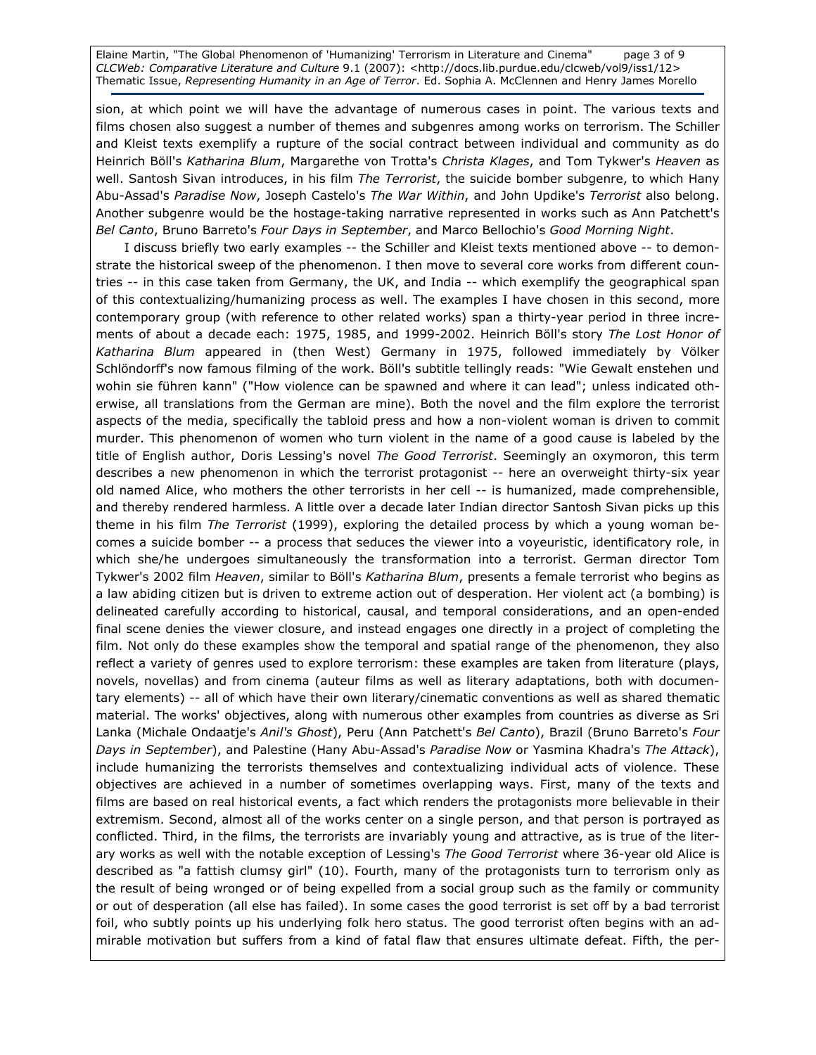Elaine Martin, "The Global Phenomenon of 'Humanizing' Terrorism in Literature and Cinema" page 3 of 9 CLCWeb: Comparative Literature and Culture 9.1 (2007): <http://docs.lib.purdue.edu/clcweb/vol9/iss1/12> Thematic Issue, Representing Humanity in an Age of Terror. Ed. Sophia A. McClennen and Henry James Morello

sion, at which point we will have the advantage of numerous cases in point. The various texts and films chosen also suggest a number of themes and subgenres among works on terrorism. The Schiller and Kleist texts exemplify a rupture of the social contract between individual and community as do Heinrich Böll's Katharina Blum, Margarethe von Trotta's Christa Klages, and Tom Tykwer's Heaven as well. Santosh Sivan introduces, in his film The Terrorist, the suicide bomber subgenre, to which Hany Abu-Assad's Paradise Now, Joseph Castelo's The War Within, and John Updike's Terrorist also belong. Another subgenre would be the hostage-taking narrative represented in works such as Ann Patchett's Bel Canto, Bruno Barreto's Four Days in September, and Marco Bellochio's Good Morning Night.

I discuss briefly two early examples -- the Schiller and Kleist texts mentioned above -- to demonstrate the historical sweep of the phenomenon. I then move to several core works from different countries -- in this case taken from Germany, the UK, and India -- which exemplify the geographical span of this contextualizing/humanizing process as well. The examples I have chosen in this second, more contemporary group (with reference to other related works) span a thirty-year period in three increments of about a decade each: 1975, 1985, and 1999-2002. Heinrich Böll's story The Lost Honor of Katharina Blum appeared in (then West) Germany in 1975, followed immediately by Völker Schlöndorff's now famous filming of the work. Böll's subtitle tellingly reads: "Wie Gewalt enstehen und wohin sie führen kann" ("How violence can be spawned and where it can lead"; unless indicated otherwise, all translations from the German are mine). Both the novel and the film explore the terrorist aspects of the media, specifically the tabloid press and how a non-violent woman is driven to commit murder. This phenomenon of women who turn violent in the name of a good cause is labeled by the title of English author, Doris Lessing's novel The Good Terrorist. Seemingly an oxymoron, this term describes a new phenomenon in which the terrorist protagonist -- here an overweight thirty-six year old named Alice, who mothers the other terrorists in her cell -- is humanized, made comprehensible, and thereby rendered harmless. A little over a decade later Indian director Santosh Sivan picks up this theme in his film The Terrorist (1999), exploring the detailed process by which a young woman becomes a suicide bomber -- a process that seduces the viewer into a voyeuristic, identificatory role, in which she/he undergoes simultaneously the transformation into a terrorist. German director Tom Tykwer's 2002 film Heaven, similar to Böll's Katharina Blum, presents a female terrorist who begins as a law abiding citizen but is driven to extreme action out of desperation. Her violent act (a bombing) is delineated carefully according to historical, causal, and temporal considerations, and an open-ended final scene denies the viewer closure, and instead engages one directly in a project of completing the film. Not only do these examples show the temporal and spatial range of the phenomenon, they also reflect a variety of genres used to explore terrorism: these examples are taken from literature (plays, novels, novellas) and from cinema (auteur films as well as literary adaptations, both with documentary elements) -- all of which have their own literary/cinematic conventions as well as shared thematic material. The works' objectives, along with numerous other examples from countries as diverse as Sri Lanka (Michale Ondaatje's Anil's Ghost), Peru (Ann Patchett's Bel Canto), Brazil (Bruno Barreto's Four Days in September), and Palestine (Hany Abu-Assad's Paradise Now or Yasmina Khadra's The Attack), include humanizing the terrorists themselves and contextualizing individual acts of violence. These objectives are achieved in a number of sometimes overlapping ways. First, many of the texts and films are based on real historical events, a fact which renders the protagonists more believable in their extremism. Second, almost all of the works center on a single person, and that person is portrayed as conflicted. Third, in the films, the terrorists are invariably young and attractive, as is true of the literary works as well with the notable exception of Lessing's The Good Terrorist where 36-year old Alice is described as "a fattish clumsy girl" (10). Fourth, many of the protagonists turn to terrorism only as the result of being wronged or of being expelled from a social group such as the family or community or out of desperation (all else has failed). In some cases the good terrorist is set off by a bad terrorist foil, who subtly points up his underlying folk hero status. The good terrorist often begins with an admirable motivation but suffers from a kind of fatal flaw that ensures ultimate defeat. Fifth, the per-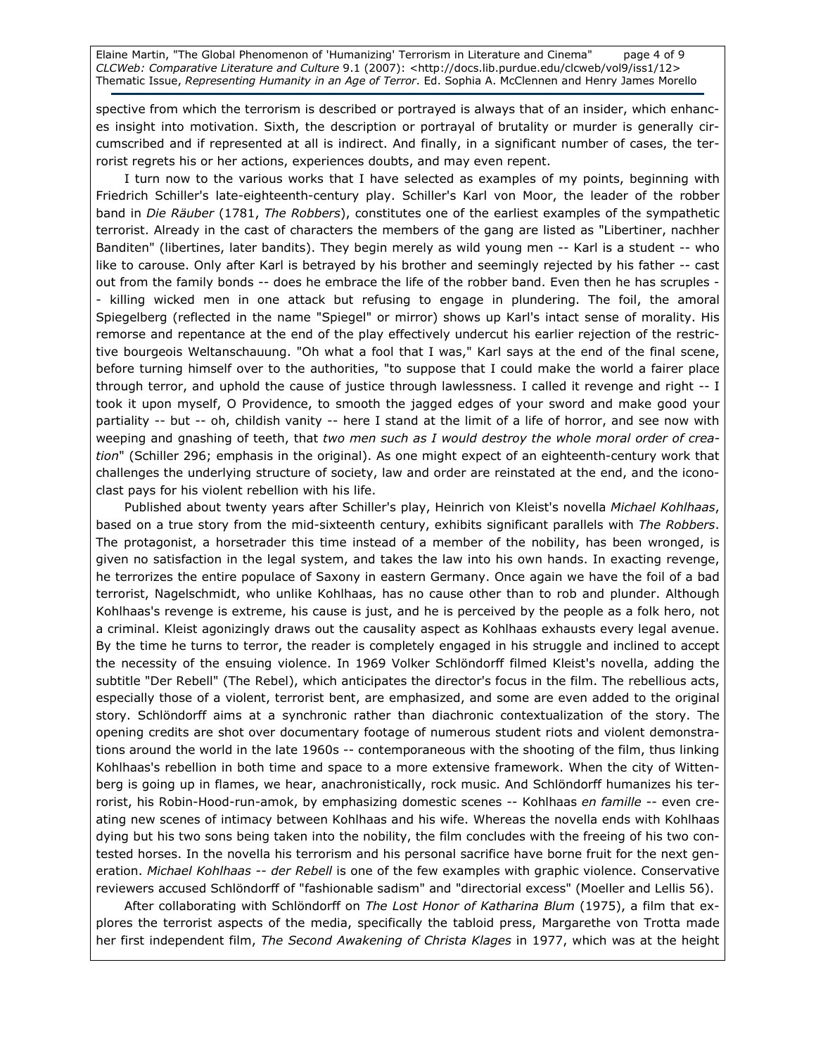Elaine Martin, "The Global Phenomenon of 'Humanizing' Terrorism in Literature and Cinema" page 4 of 9 CLCWeb: Comparative Literature and Culture 9.1 (2007): <http://docs.lib.purdue.edu/clcweb/vol9/iss1/12> Thematic Issue, Representing Humanity in an Age of Terror. Ed. Sophia A. McClennen and Henry James Morello

spective from which the terrorism is described or portrayed is always that of an insider, which enhances insight into motivation. Sixth, the description or portrayal of brutality or murder is generally circumscribed and if represented at all is indirect. And finally, in a significant number of cases, the terrorist regrets his or her actions, experiences doubts, and may even repent.

I turn now to the various works that I have selected as examples of my points, beginning with Friedrich Schiller's late-eighteenth-century play. Schiller's Karl von Moor, the leader of the robber band in Die Räuber (1781, The Robbers), constitutes one of the earliest examples of the sympathetic terrorist. Already in the cast of characters the members of the gang are listed as "Libertiner, nachher Banditen" (libertines, later bandits). They begin merely as wild young men -- Karl is a student -- who like to carouse. Only after Karl is betrayed by his brother and seemingly rejected by his father -- cast out from the family bonds -- does he embrace the life of the robber band. Even then he has scruples -- killing wicked men in one attack but refusing to engage in plundering. The foil, the amoral Spiegelberg (reflected in the name "Spiegel" or mirror) shows up Karl's intact sense of morality. His remorse and repentance at the end of the play effectively undercut his earlier rejection of the restrictive bourgeois Weltanschauung. "Oh what a fool that I was," Karl says at the end of the final scene, before turning himself over to the authorities, "to suppose that I could make the world a fairer place through terror, and uphold the cause of justice through lawlessness. I called it revenge and right -- I took it upon myself, O Providence, to smooth the jagged edges of your sword and make good your partiality -- but -- oh, childish vanity -- here I stand at the limit of a life of horror, and see now with weeping and gnashing of teeth, that two men such as I would destroy the whole moral order of creation" (Schiller 296; emphasis in the original). As one might expect of an eighteenth-century work that challenges the underlying structure of society, law and order are reinstated at the end, and the iconoclast pays for his violent rebellion with his life.

Published about twenty years after Schiller's play, Heinrich von Kleist's novella Michael Kohlhaas, based on a true story from the mid-sixteenth century, exhibits significant parallels with The Robbers. The protagonist, a horsetrader this time instead of a member of the nobility, has been wronged, is given no satisfaction in the legal system, and takes the law into his own hands. In exacting revenge, he terrorizes the entire populace of Saxony in eastern Germany. Once again we have the foil of a bad terrorist, Nagelschmidt, who unlike Kohlhaas, has no cause other than to rob and plunder. Although Kohlhaas's revenge is extreme, his cause is just, and he is perceived by the people as a folk hero, not a criminal. Kleist agonizingly draws out the causality aspect as Kohlhaas exhausts every legal avenue. By the time he turns to terror, the reader is completely engaged in his struggle and inclined to accept the necessity of the ensuing violence. In 1969 Volker Schlöndorff filmed Kleist's novella, adding the subtitle "Der Rebell" (The Rebel), which anticipates the director's focus in the film. The rebellious acts, especially those of a violent, terrorist bent, are emphasized, and some are even added to the original story. Schlöndorff aims at a synchronic rather than diachronic contextualization of the story. The opening credits are shot over documentary footage of numerous student riots and violent demonstrations around the world in the late 1960s -- contemporaneous with the shooting of the film, thus linking Kohlhaas's rebellion in both time and space to a more extensive framework. When the city of Wittenberg is going up in flames, we hear, anachronistically, rock music. And Schlöndorff humanizes his terrorist, his Robin-Hood-run-amok, by emphasizing domestic scenes -- Kohlhaas en famille -- even creating new scenes of intimacy between Kohlhaas and his wife. Whereas the novella ends with Kohlhaas dying but his two sons being taken into the nobility, the film concludes with the freeing of his two contested horses. In the novella his terrorism and his personal sacrifice have borne fruit for the next generation. Michael Kohlhaas -- der Rebell is one of the few examples with graphic violence. Conservative reviewers accused Schlöndorff of "fashionable sadism" and "directorial excess" (Moeller and Lellis 56).

After collaborating with Schlöndorff on The Lost Honor of Katharina Blum (1975), a film that explores the terrorist aspects of the media, specifically the tabloid press, Margarethe von Trotta made her first independent film, The Second Awakening of Christa Klages in 1977, which was at the height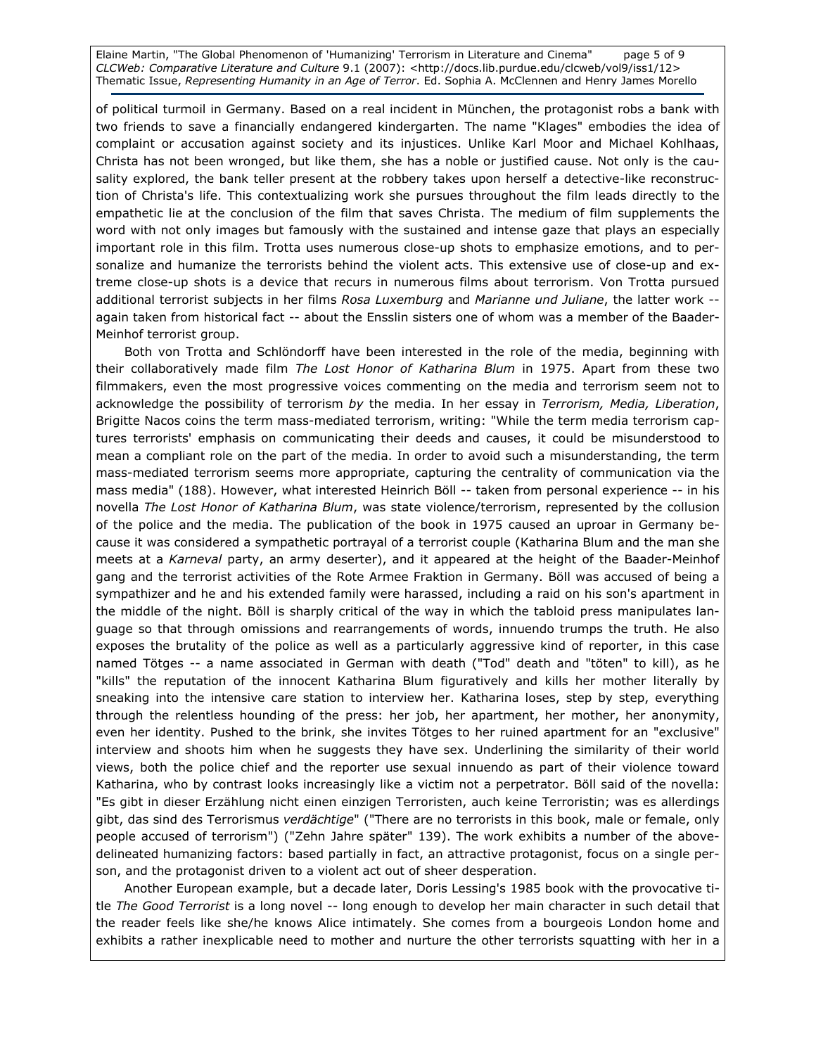Elaine Martin, "The Global Phenomenon of 'Humanizing' Terrorism in Literature and Cinema" page 5 of 9 CLCWeb: Comparative Literature and Culture 9.1 (2007): <http://docs.lib.purdue.edu/clcweb/vol9/iss1/12> Thematic Issue, Representing Humanity in an Age of Terror. Ed. Sophia A. McClennen and Henry James Morello

of political turmoil in Germany. Based on a real incident in München, the protagonist robs a bank with two friends to save a financially endangered kindergarten. The name "Klages" embodies the idea of complaint or accusation against society and its injustices. Unlike Karl Moor and Michael Kohlhaas, Christa has not been wronged, but like them, she has a noble or justified cause. Not only is the causality explored, the bank teller present at the robbery takes upon herself a detective-like reconstruction of Christa's life. This contextualizing work she pursues throughout the film leads directly to the empathetic lie at the conclusion of the film that saves Christa. The medium of film supplements the word with not only images but famously with the sustained and intense gaze that plays an especially important role in this film. Trotta uses numerous close-up shots to emphasize emotions, and to personalize and humanize the terrorists behind the violent acts. This extensive use of close-up and extreme close-up shots is a device that recurs in numerous films about terrorism. Von Trotta pursued additional terrorist subjects in her films Rosa Luxemburg and Marianne und Juliane, the latter work -again taken from historical fact -- about the Ensslin sisters one of whom was a member of the Baader-Meinhof terrorist group.

Both von Trotta and Schlöndorff have been interested in the role of the media, beginning with their collaboratively made film The Lost Honor of Katharina Blum in 1975. Apart from these two filmmakers, even the most progressive voices commenting on the media and terrorism seem not to acknowledge the possibility of terrorism by the media. In her essay in Terrorism, Media, Liberation, Brigitte Nacos coins the term mass-mediated terrorism, writing: "While the term media terrorism captures terrorists' emphasis on communicating their deeds and causes, it could be misunderstood to mean a compliant role on the part of the media. In order to avoid such a misunderstanding, the term mass-mediated terrorism seems more appropriate, capturing the centrality of communication via the mass media" (188). However, what interested Heinrich Böll -- taken from personal experience -- in his novella The Lost Honor of Katharina Blum, was state violence/terrorism, represented by the collusion of the police and the media. The publication of the book in 1975 caused an uproar in Germany because it was considered a sympathetic portrayal of a terrorist couple (Katharina Blum and the man she meets at a Karneval party, an army deserter), and it appeared at the height of the Baader-Meinhof gang and the terrorist activities of the Rote Armee Fraktion in Germany. Böll was accused of being a sympathizer and he and his extended family were harassed, including a raid on his son's apartment in the middle of the night. Böll is sharply critical of the way in which the tabloid press manipulates language so that through omissions and rearrangements of words, innuendo trumps the truth. He also exposes the brutality of the police as well as a particularly aggressive kind of reporter, in this case named Tötges -- a name associated in German with death ("Tod" death and "töten" to kill), as he "kills" the reputation of the innocent Katharina Blum figuratively and kills her mother literally by sneaking into the intensive care station to interview her. Katharina loses, step by step, everything through the relentless hounding of the press: her job, her apartment, her mother, her anonymity, even her identity. Pushed to the brink, she invites Tötges to her ruined apartment for an "exclusive" interview and shoots him when he suggests they have sex. Underlining the similarity of their world views, both the police chief and the reporter use sexual innuendo as part of their violence toward Katharina, who by contrast looks increasingly like a victim not a perpetrator. Böll said of the novella: "Es gibt in dieser Erzählung nicht einen einzigen Terroristen, auch keine Terroristin; was es allerdings gibt, das sind des Terrorismus verdächtige" ("There are no terrorists in this book, male or female, only people accused of terrorism") ("Zehn Jahre später" 139). The work exhibits a number of the abovedelineated humanizing factors: based partially in fact, an attractive protagonist, focus on a single person, and the protagonist driven to a violent act out of sheer desperation.

Another European example, but a decade later, Doris Lessing's 1985 book with the provocative title The Good Terrorist is a long novel -- long enough to develop her main character in such detail that the reader feels like she/he knows Alice intimately. She comes from a bourgeois London home and exhibits a rather inexplicable need to mother and nurture the other terrorists squatting with her in a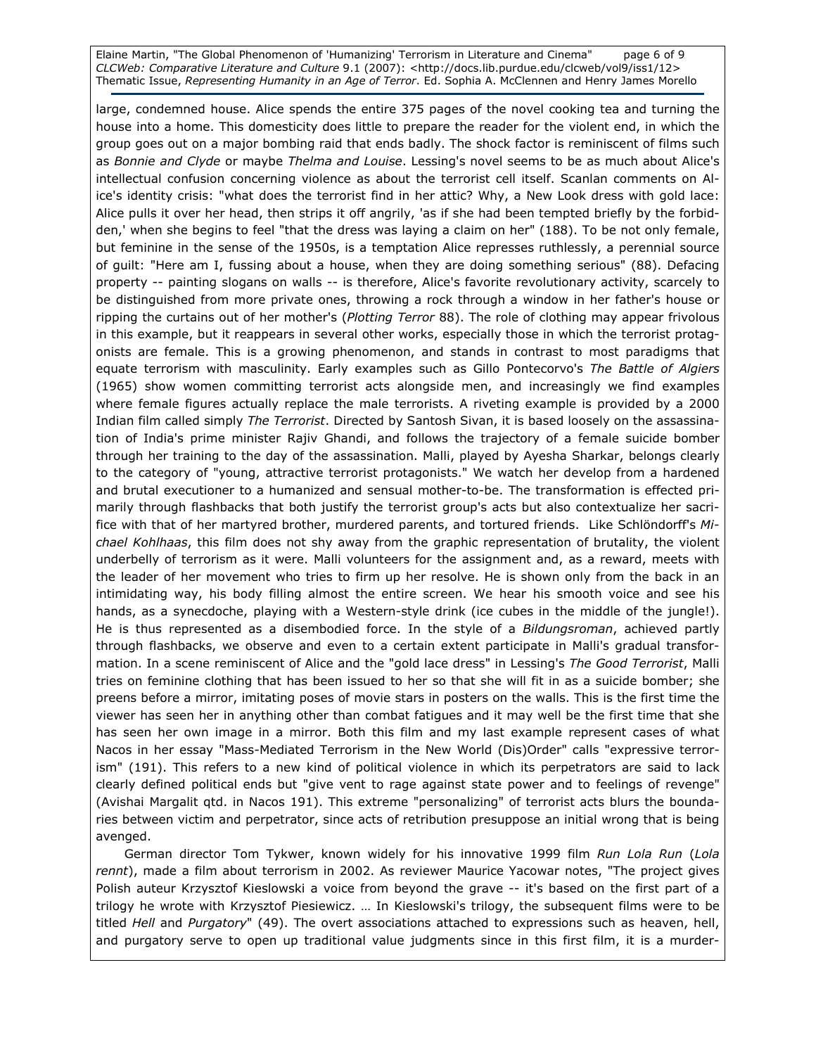Elaine Martin, "The Global Phenomenon of 'Humanizing' Terrorism in Literature and Cinema" page 6 of 9 CLCWeb: Comparative Literature and Culture 9.1 (2007): <http://docs.lib.purdue.edu/clcweb/vol9/iss1/12> Thematic Issue, Representing Humanity in an Age of Terror. Ed. Sophia A. McClennen and Henry James Morello

large, condemned house. Alice spends the entire 375 pages of the novel cooking tea and turning the house into a home. This domesticity does little to prepare the reader for the violent end, in which the group goes out on a major bombing raid that ends badly. The shock factor is reminiscent of films such as Bonnie and Clyde or maybe Thelma and Louise. Lessing's novel seems to be as much about Alice's intellectual confusion concerning violence as about the terrorist cell itself. Scanlan comments on Alice's identity crisis: "what does the terrorist find in her attic? Why, a New Look dress with gold lace: Alice pulls it over her head, then strips it off angrily, 'as if she had been tempted briefly by the forbidden,' when she begins to feel "that the dress was laying a claim on her" (188). To be not only female, but feminine in the sense of the 1950s, is a temptation Alice represses ruthlessly, a perennial source of guilt: "Here am I, fussing about a house, when they are doing something serious" (88). Defacing property -- painting slogans on walls -- is therefore, Alice's favorite revolutionary activity, scarcely to be distinguished from more private ones, throwing a rock through a window in her father's house or ripping the curtains out of her mother's (Plotting Terror 88). The role of clothing may appear frivolous in this example, but it reappears in several other works, especially those in which the terrorist protagonists are female. This is a growing phenomenon, and stands in contrast to most paradigms that equate terrorism with masculinity. Early examples such as Gillo Pontecorvo's The Battle of Algiers (1965) show women committing terrorist acts alongside men, and increasingly we find examples where female figures actually replace the male terrorists. A riveting example is provided by a 2000 Indian film called simply The Terrorist. Directed by Santosh Sivan, it is based loosely on the assassination of India's prime minister Rajiv Ghandi, and follows the trajectory of a female suicide bomber through her training to the day of the assassination. Malli, played by Ayesha Sharkar, belongs clearly to the category of "young, attractive terrorist protagonists." We watch her develop from a hardened and brutal executioner to a humanized and sensual mother-to-be. The transformation is effected primarily through flashbacks that both justify the terrorist group's acts but also contextualize her sacrifice with that of her martyred brother, murdered parents, and tortured friends. Like Schlöndorff's Michael Kohlhaas, this film does not shy away from the graphic representation of brutality, the violent underbelly of terrorism as it were. Malli volunteers for the assignment and, as a reward, meets with the leader of her movement who tries to firm up her resolve. He is shown only from the back in an intimidating way, his body filling almost the entire screen. We hear his smooth voice and see his hands, as a synecdoche, playing with a Western-style drink (ice cubes in the middle of the jungle!). He is thus represented as a disembodied force. In the style of a Bildungsroman, achieved partly through flashbacks, we observe and even to a certain extent participate in Malli's gradual transformation. In a scene reminiscent of Alice and the "gold lace dress" in Lessing's The Good Terrorist, Malli tries on feminine clothing that has been issued to her so that she will fit in as a suicide bomber; she preens before a mirror, imitating poses of movie stars in posters on the walls. This is the first time the viewer has seen her in anything other than combat fatigues and it may well be the first time that she has seen her own image in a mirror. Both this film and my last example represent cases of what Nacos in her essay "Mass-Mediated Terrorism in the New World (Dis)Order" calls "expressive terrorism" (191). This refers to a new kind of political violence in which its perpetrators are said to lack clearly defined political ends but "give vent to rage against state power and to feelings of revenge" (Avishai Margalit qtd. in Nacos 191). This extreme "personalizing" of terrorist acts blurs the boundaries between victim and perpetrator, since acts of retribution presuppose an initial wrong that is being avenged.

German director Tom Tykwer, known widely for his innovative 1999 film Run Lola Run (Lola rennt), made a film about terrorism in 2002. As reviewer Maurice Yacowar notes, "The project gives Polish auteur Krzysztof Kieslowski a voice from beyond the grave -- it's based on the first part of a trilogy he wrote with Krzysztof Piesiewicz. … In Kieslowski's trilogy, the subsequent films were to be titled Hell and Purgatory" (49). The overt associations attached to expressions such as heaven, hell, and purgatory serve to open up traditional value judgments since in this first film, it is a murder-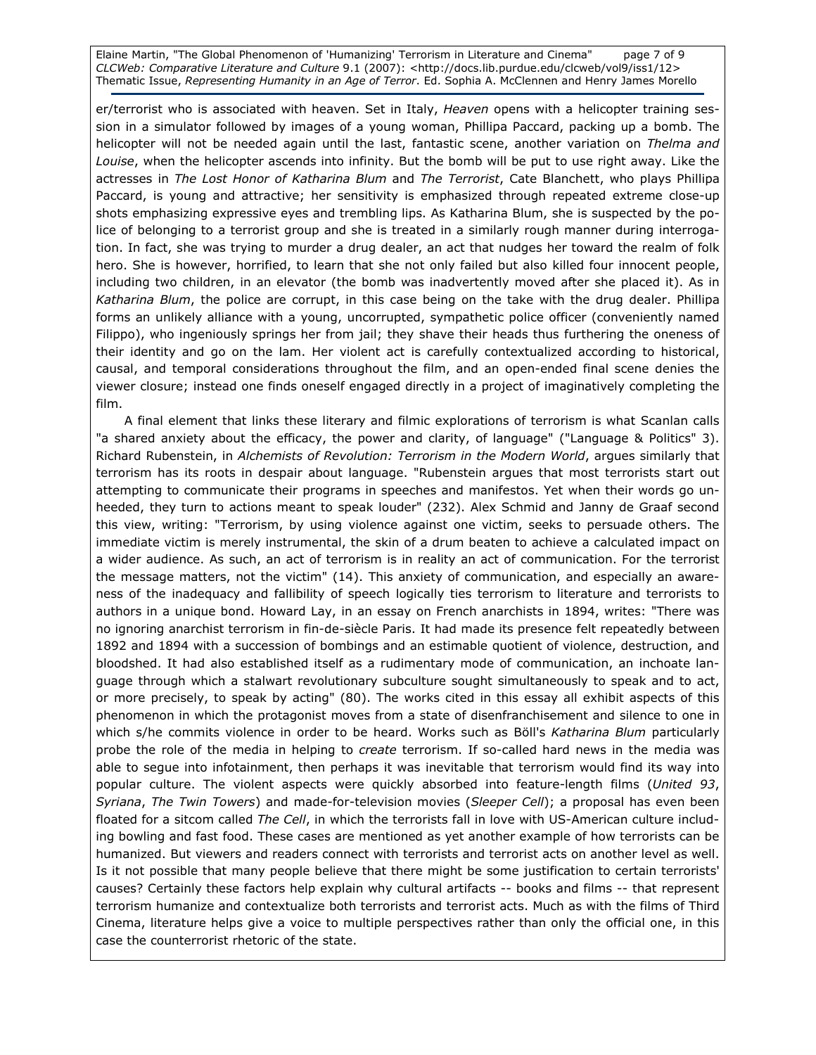Elaine Martin, "The Global Phenomenon of 'Humanizing' Terrorism in Literature and Cinema" page 7 of 9 CLCWeb: Comparative Literature and Culture 9.1 (2007): <http://docs.lib.purdue.edu/clcweb/vol9/iss1/12> Thematic Issue, Representing Humanity in an Age of Terror. Ed. Sophia A. McClennen and Henry James Morello

er/terrorist who is associated with heaven. Set in Italy, Heaven opens with a helicopter training session in a simulator followed by images of a young woman, Phillipa Paccard, packing up a bomb. The helicopter will not be needed again until the last, fantastic scene, another variation on Thelma and Louise, when the helicopter ascends into infinity. But the bomb will be put to use right away. Like the actresses in The Lost Honor of Katharina Blum and The Terrorist, Cate Blanchett, who plays Phillipa Paccard, is young and attractive; her sensitivity is emphasized through repeated extreme close-up shots emphasizing expressive eyes and trembling lips. As Katharina Blum, she is suspected by the police of belonging to a terrorist group and she is treated in a similarly rough manner during interrogation. In fact, she was trying to murder a drug dealer, an act that nudges her toward the realm of folk hero. She is however, horrified, to learn that she not only failed but also killed four innocent people, including two children, in an elevator (the bomb was inadvertently moved after she placed it). As in Katharina Blum, the police are corrupt, in this case being on the take with the drug dealer. Phillipa forms an unlikely alliance with a young, uncorrupted, sympathetic police officer (conveniently named Filippo), who ingeniously springs her from jail; they shave their heads thus furthering the oneness of their identity and go on the lam. Her violent act is carefully contextualized according to historical, causal, and temporal considerations throughout the film, and an open-ended final scene denies the viewer closure; instead one finds oneself engaged directly in a project of imaginatively completing the film.

A final element that links these literary and filmic explorations of terrorism is what Scanlan calls "a shared anxiety about the efficacy, the power and clarity, of language" ("Language & Politics" 3). Richard Rubenstein, in Alchemists of Revolution: Terrorism in the Modern World, argues similarly that terrorism has its roots in despair about language. "Rubenstein argues that most terrorists start out attempting to communicate their programs in speeches and manifestos. Yet when their words go unheeded, they turn to actions meant to speak louder" (232). Alex Schmid and Janny de Graaf second this view, writing: "Terrorism, by using violence against one victim, seeks to persuade others. The immediate victim is merely instrumental, the skin of a drum beaten to achieve a calculated impact on a wider audience. As such, an act of terrorism is in reality an act of communication. For the terrorist the message matters, not the victim" (14). This anxiety of communication, and especially an awareness of the inadequacy and fallibility of speech logically ties terrorism to literature and terrorists to authors in a unique bond. Howard Lay, in an essay on French anarchists in 1894, writes: "There was no ignoring anarchist terrorism in fin-de-siècle Paris. It had made its presence felt repeatedly between 1892 and 1894 with a succession of bombings and an estimable quotient of violence, destruction, and bloodshed. It had also established itself as a rudimentary mode of communication, an inchoate language through which a stalwart revolutionary subculture sought simultaneously to speak and to act, or more precisely, to speak by acting" (80). The works cited in this essay all exhibit aspects of this phenomenon in which the protagonist moves from a state of disenfranchisement and silence to one in which s/he commits violence in order to be heard. Works such as Böll's Katharina Blum particularly probe the role of the media in helping to *create* terrorism. If so-called hard news in the media was able to segue into infotainment, then perhaps it was inevitable that terrorism would find its way into popular culture. The violent aspects were quickly absorbed into feature-length films (United 93, Syriana, The Twin Towers) and made-for-television movies (Sleeper Cell); a proposal has even been floated for a sitcom called The Cell, in which the terrorists fall in love with US-American culture including bowling and fast food. These cases are mentioned as yet another example of how terrorists can be humanized. But viewers and readers connect with terrorists and terrorist acts on another level as well. Is it not possible that many people believe that there might be some justification to certain terrorists' causes? Certainly these factors help explain why cultural artifacts -- books and films -- that represent terrorism humanize and contextualize both terrorists and terrorist acts. Much as with the films of Third Cinema, literature helps give a voice to multiple perspectives rather than only the official one, in this case the counterrorist rhetoric of the state.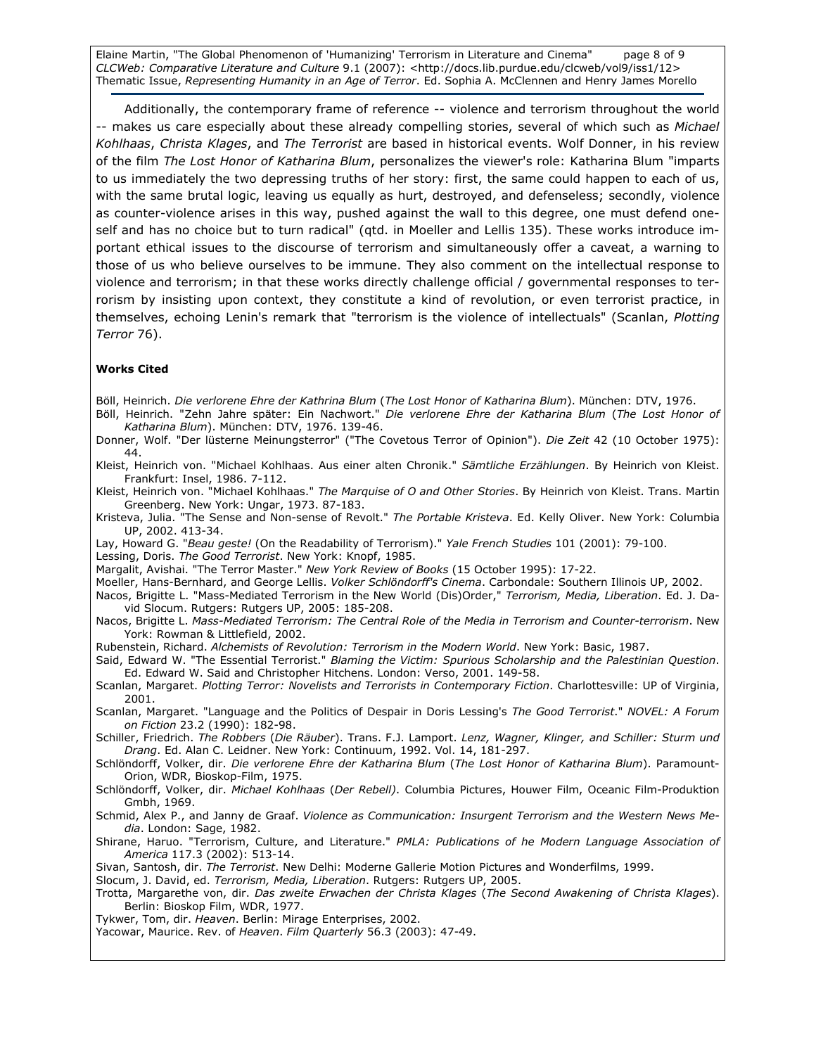Elaine Martin, "The Global Phenomenon of 'Humanizing' Terrorism in Literature and Cinema" page 8 of 9 CLCWeb: Comparative Literature and Culture 9.1 (2007): <http://docs.lib.purdue.edu/clcweb/vol9/iss1/12> Thematic Issue, Representing Humanity in an Age of Terror. Ed. Sophia A. McClennen and Henry James Morello

Additionally, the contemporary frame of reference -- violence and terrorism throughout the world -- makes us care especially about these already compelling stories, several of which such as Michael Kohlhaas, Christa Klages, and The Terrorist are based in historical events. Wolf Donner, in his review of the film The Lost Honor of Katharina Blum, personalizes the viewer's role: Katharina Blum "imparts to us immediately the two depressing truths of her story: first, the same could happen to each of us, with the same brutal logic, leaving us equally as hurt, destroyed, and defenseless; secondly, violence as counter-violence arises in this way, pushed against the wall to this degree, one must defend oneself and has no choice but to turn radical" (qtd. in Moeller and Lellis 135). These works introduce important ethical issues to the discourse of terrorism and simultaneously offer a caveat, a warning to those of us who believe ourselves to be immune. They also comment on the intellectual response to violence and terrorism; in that these works directly challenge official / governmental responses to terrorism by insisting upon context, they constitute a kind of revolution, or even terrorist practice, in themselves, echoing Lenin's remark that "terrorism is the violence of intellectuals" (Scanlan, Plotting Terror 76).

#### Works Cited

Böll, Heinrich. Die verlorene Ehre der Kathrina Blum (The Lost Honor of Katharina Blum). München: DTV, 1976.

- Böll, Heinrich. "Zehn Jahre später: Ein Nachwort." Die verlorene Ehre der Katharina Blum (The Lost Honor of Katharina Blum). München: DTV, 1976. 139-46.
- Donner, Wolf. "Der lüsterne Meinungsterror" ("The Covetous Terror of Opinion"). Die Zeit 42 (10 October 1975): 44.
- Kleist, Heinrich von. "Michael Kohlhaas. Aus einer alten Chronik." Sämtliche Erzählungen. By Heinrich von Kleist. Frankfurt: Insel, 1986. 7-112.
- Kleist, Heinrich von. "Michael Kohlhaas." The Marquise of O and Other Stories. By Heinrich von Kleist. Trans. Martin Greenberg. New York: Ungar, 1973. 87-183.
- Kristeva, Julia. "The Sense and Non-sense of Revolt." The Portable Kristeva. Ed. Kelly Oliver. New York: Columbia UP, 2002. 413-34.
- Lay, Howard G. "Beau geste! (On the Readability of Terrorism)." Yale French Studies 101 (2001): 79-100.
- Lessing, Doris. The Good Terrorist. New York: Knopf, 1985.
- Margalit, Avishai. "The Terror Master." New York Review of Books (15 October 1995): 17-22.
- Moeller, Hans-Bernhard, and George Lellis. Volker Schlöndorff's Cinema. Carbondale: Southern Illinois UP, 2002. Nacos, Brigitte L. "Mass-Mediated Terrorism in the New World (Dis)Order," Terrorism, Media, Liberation. Ed. J. Da
	- vid Slocum. Rutgers: Rutgers UP, 2005: 185-208.
- Nacos, Brigitte L. Mass-Mediated Terrorism: The Central Role of the Media in Terrorism and Counter-terrorism. New York: Rowman & Littlefield, 2002.
- Rubenstein, Richard. Alchemists of Revolution: Terrorism in the Modern World. New York: Basic, 1987.
- Said, Edward W. "The Essential Terrorist." Blaming the Victim: Spurious Scholarship and the Palestinian Question. Ed. Edward W. Said and Christopher Hitchens. London: Verso, 2001. 149-58.
- Scanlan, Margaret. Plotting Terror: Novelists and Terrorists in Contemporary Fiction. Charlottesville: UP of Virginia, 2001.
- Scanlan, Margaret. "Language and the Politics of Despair in Doris Lessing's The Good Terrorist." NOVEL: A Forum on Fiction 23.2 (1990): 182-98.
- Schiller, Friedrich. The Robbers (Die Räuber). Trans. F.J. Lamport. Lenz, Wagner, Klinger, and Schiller: Sturm und Drang. Ed. Alan C. Leidner. New York: Continuum, 1992. Vol. 14, 181-297.
- Schlöndorff, Volker, dir. Die verlorene Ehre der Katharina Blum (The Lost Honor of Katharina Blum). Paramount-Orion, WDR, Bioskop-Film, 1975.
- Schlöndorff, Volker, dir. Michael Kohlhaas (Der Rebell). Columbia Pictures, Houwer Film, Oceanic Film-Produktion Gmbh, 1969.
- Schmid, Alex P., and Janny de Graaf. Violence as Communication: Insurgent Terrorism and the Western News Media. London: Sage, 1982.
- Shirane, Haruo. "Terrorism, Culture, and Literature." PMLA: Publications of he Modern Language Association of America 117.3 (2002): 513-14.
- Sivan, Santosh, dir. The Terrorist. New Delhi: Moderne Gallerie Motion Pictures and Wonderfilms, 1999.
- Slocum, J. David, ed. Terrorism, Media, Liberation. Rutgers: Rutgers UP, 2005.
- Trotta, Margarethe von, dir. Das zweite Erwachen der Christa Klages (The Second Awakening of Christa Klages). Berlin: Bioskop Film, WDR, 1977.
- Tykwer, Tom, dir. Heaven. Berlin: Mirage Enterprises, 2002.
- Yacowar, Maurice. Rev. of Heaven. Film Quarterly 56.3 (2003): 47-49.